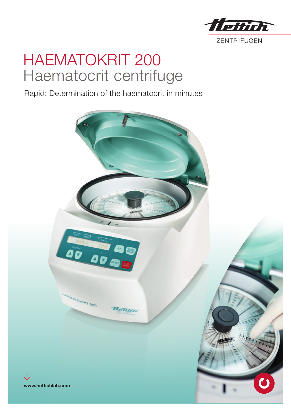

# HAEMATOKRIT 200 Haematocrit centrifuge

Rapid: Determination of the haematocrit in minutes

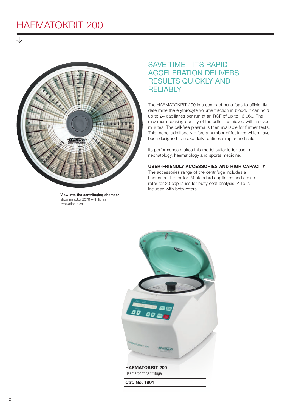### HAEMATOKRIT 200



View into the centrifuging chamber showing rotor 2076 with lid as evaluation disc

### SAVE TIME – ITS RAPID ACCELERATION DELIVERS RESULTS QUICKLY AND RELIABLY

The HAEMATOKRIT 200 is a compact centrifuge to efficiently determine the erythrocyte volume fraction in blood. It can hold up to 24 capillaries per run at an RCF of up to 16,060. The maximum packing density of the cells is achieved within seven minutes. The cell-free plasma is then available for further tests. This model additionally offers a number of features which have been designed to make daily routines simpler and safer.

Its performance makes this model suitable for use in neonatology, haematology and sports medicine.

#### USER-FRIENDLY ACCESSORIES AND HIGH CAPACITY

The accessories range of the centrifuge includes a haematocrit rotor for 24 standard capillaries and a disc rotor for 20 capillaries for buffy coat analysis. A lid is included with both rotors.



HAEMATOKRIT 200 Haematocrit centrifuge

Cat. No. 1801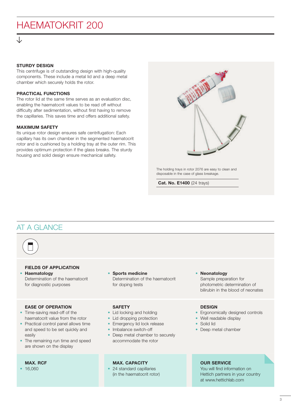## HAEMATOKRIT 200

#### STURDY DESIGN

This centrifuge is of outstanding design with high-quality components. These include a metal lid and a deep metal chamber which securely holds the rotor.

#### PRACTICAL FUNCTIONS

The rotor lid at the same time serves as an evaluation disc, enabling the haematocrit values to be read off without difficulty after sedimentation, without first having to remove the capillaries. This saves time and offers additional safety.

#### MAXIMUM SAFETY

Its unique rotor design ensures safe centrifugation: Each capillary has its own chamber in the segmented haematocrit rotor and is cushioned by a holding tray at the outer rim. This provides optimum protection if the glass breaks. The sturdy housing and solid design ensure mechanical safety.



The holding trays in rotor 2076 are easy to clean and disposable in the case of glass breakage.

Cat. No. E1400 (24 trays)

#### AT A GLANCE



#### FIELDS OF APPLICATION • Haematology

Determination of the haematocrit for diagnostic purposes

Sports medicine Determination of the haematocrit for doping tests

#### EASE OF OPERATION

- Time-saving read-off of the haematocrit value from the rotor
- Practical control panel allows time and speed to be set quickly and easily
- The remaining run time and speed are shown on the display

#### MAX. RCF

• 16,060

#### **SAFETY**

- Lid locking and holding
- Lid dropping protection
- Emergency lid lock release
- Imbalance switch-off
- Deep metal chamber to securely accommodate the rotor

#### MAX. CAPACITY

• 24 standard capillaries (in the haematocrit rotor)

#### • Neonatology Sample preparation for photometric determination of bilirubin in the blood of neonates

#### **DESIGN**

- Ergonomically designed controls
- Well readable display
- Solid lid
- Deep metal chamber

#### OUR SERVICE

You will find information on Hettich partners in your country at www.hettichlab.com